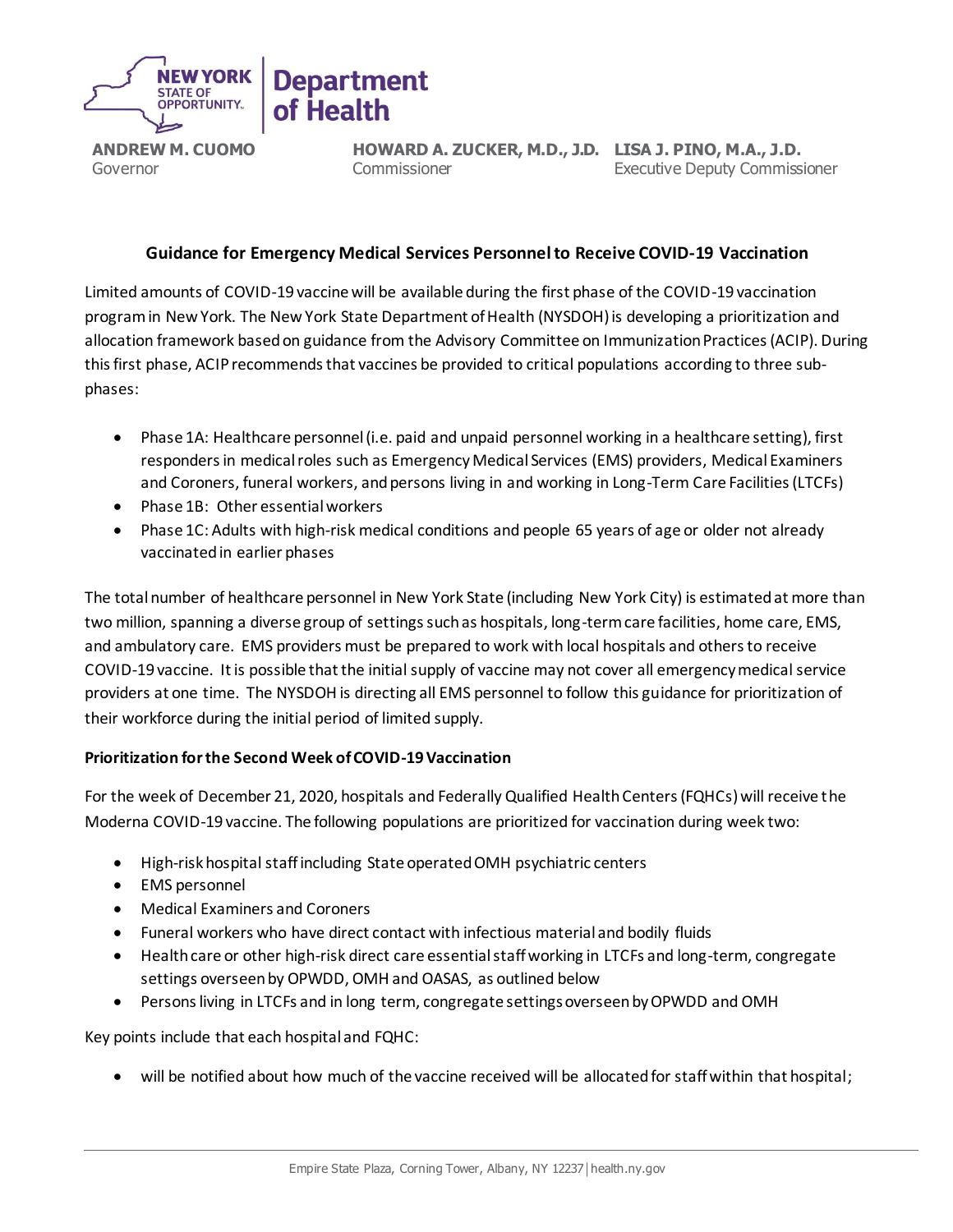

**ANDREW M. CUOMO** Governor

**HOWARD A. ZUCKER, M.D., J.D. LISA J. PINO, M.A., J.D.** Commissioner Executive Deputy Commissioner

## **Guidance for Emergency Medical Services Personnel to Receive COVID-19 Vaccination**

Limited amounts of COVID-19 vaccine will be available during the first phase of the COVID-19 vaccination program in New York. The New York State Department of Health (NYSDOH) is developing a prioritization and allocation framework based on guidance from the Advisory Committee on Immunization Practices (ACIP). During this first phase, ACIP recommends that vaccines be provided to critical populations according to three subphases:

- Phase 1A: Healthcare personnel (i.e. paid and unpaid personnel working in a healthcare setting), first responders in medical roles such as Emergency Medical Services (EMS) providers, Medical Examiners and Coroners, funeral workers, and persons living in and working in Long-Term Care Facilities (LTCFs)
- Phase 1B: Other essential workers
- Phase 1C: Adults with high-risk medical conditions and people 65 years of age or older not already vaccinated in earlier phases

The total number of healthcare personnel in New York State (including New York City) is estimated at more than two million, spanning a diverse group of settings such as hospitals, long-term care facilities, home care, EMS, and ambulatory care. EMS providers must be prepared to work with local hospitals and others to receive COVID-19 vaccine. It is possible that the initial supply of vaccine may not cover all emergency medical service providers at one time. The NYSDOH is directing all EMS personnel to follow this guidance for prioritization of their workforce during the initial period of limited supply.

## **Prioritization for the Second Week of COVID-19 Vaccination**

For the week of December 21, 2020, hospitals and Federally Qualified Health Centers (FQHCs) will receive the Moderna COVID-19 vaccine. The following populations are prioritized for vaccination during week two:

- High-risk hospital staff including State operated OMH psychiatric centers
- EMS personnel
- Medical Examiners and Coroners
- Funeral workers who have direct contact with infectious material and bodily fluids
- Health care or other high-risk direct care essential staff working in LTCFs and long-term, congregate settings overseen by OPWDD, OMH and OASAS, as outlined below
- Persons living in LTCFs and in long term, congregate settings overseen by OPWDD and OMH

Key points include that each hospital and FQHC:

• will be notified about how much of the vaccine received will be allocated for staff within that hospital;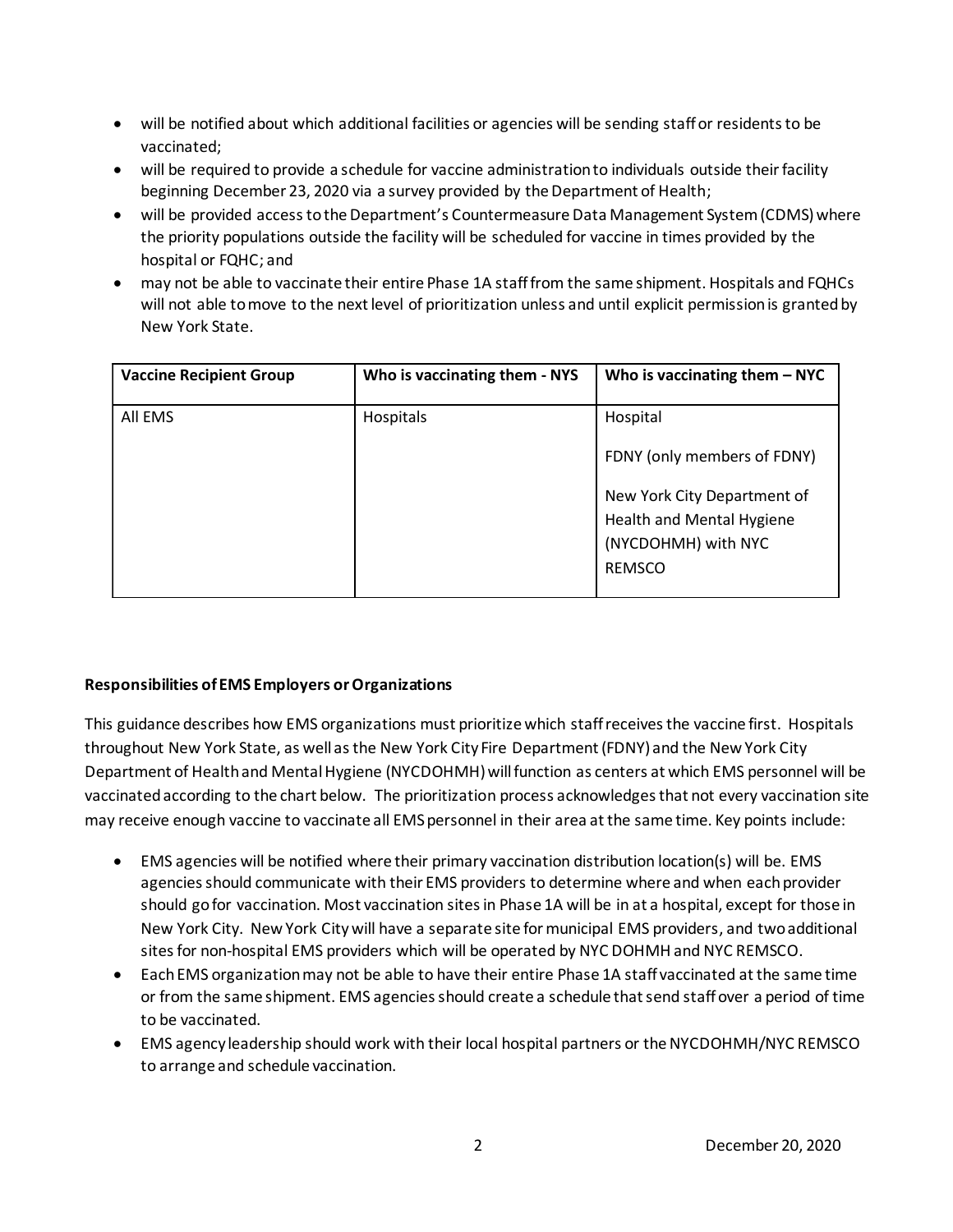- will be notified about which additional facilities or agencies will be sending staff or residents to be vaccinated;
- will be required to provide a schedule for vaccine administration to individuals outside their facility beginning December 23, 2020 via a survey provided by the Department of Health;
- will be provided access to the Department's Countermeasure Data Management System (CDMS) where the priority populations outside the facility will be scheduled for vaccine in times provided by the hospital or FQHC; and
- may not be able to vaccinate their entire Phase 1A staff from the same shipment. Hospitals and FQHCs will not able to move to the next level of prioritization unless and until explicit permission is granted by New York State.

| <b>Vaccine Recipient Group</b> | Who is vaccinating them - NYS | Who is vaccinating them $-$ NYC                                                                  |
|--------------------------------|-------------------------------|--------------------------------------------------------------------------------------------------|
| All EMS                        | Hospitals                     | Hospital<br>FDNY (only members of FDNY)                                                          |
|                                |                               | New York City Department of<br>Health and Mental Hygiene<br>(NYCDOHMH) with NYC<br><b>REMSCO</b> |

## **Responsibilities of EMS Employers or Organizations**

This guidance describes how EMS organizations must prioritize which staff receives the vaccine first. Hospitals throughout New York State, as well as the New York City Fire Department (FDNY) and the New York City Department of Health and Mental Hygiene (NYCDOHMH) will function as centers at which EMS personnel will be vaccinated according to the chart below. The prioritization process acknowledges that not every vaccination site may receive enough vaccine to vaccinate all EMS personnel in their area at the same time. Key points include:

- EMS agencies will be notified where their primary vaccination distribution location(s) will be. EMS agencies should communicate with their EMS providers to determine where and when each provider should go for vaccination. Most vaccination sites in Phase 1A will be in at a hospital, except for those in New York City. New York Citywill have a separate site for municipal EMS providers, and two additional sites for non-hospital EMS providers which will be operated by NYC DOHMH and NYC REMSCO.
- Each EMS organization may not be able to have their entire Phase 1A staff vaccinated at the same time or from the same shipment. EMS agencies should create a schedule that send staff over a period of time to be vaccinated.
- EMS agency leadership should work with their local hospital partners or the NYCDOHMH/NYC REMSCO to arrange and schedule vaccination.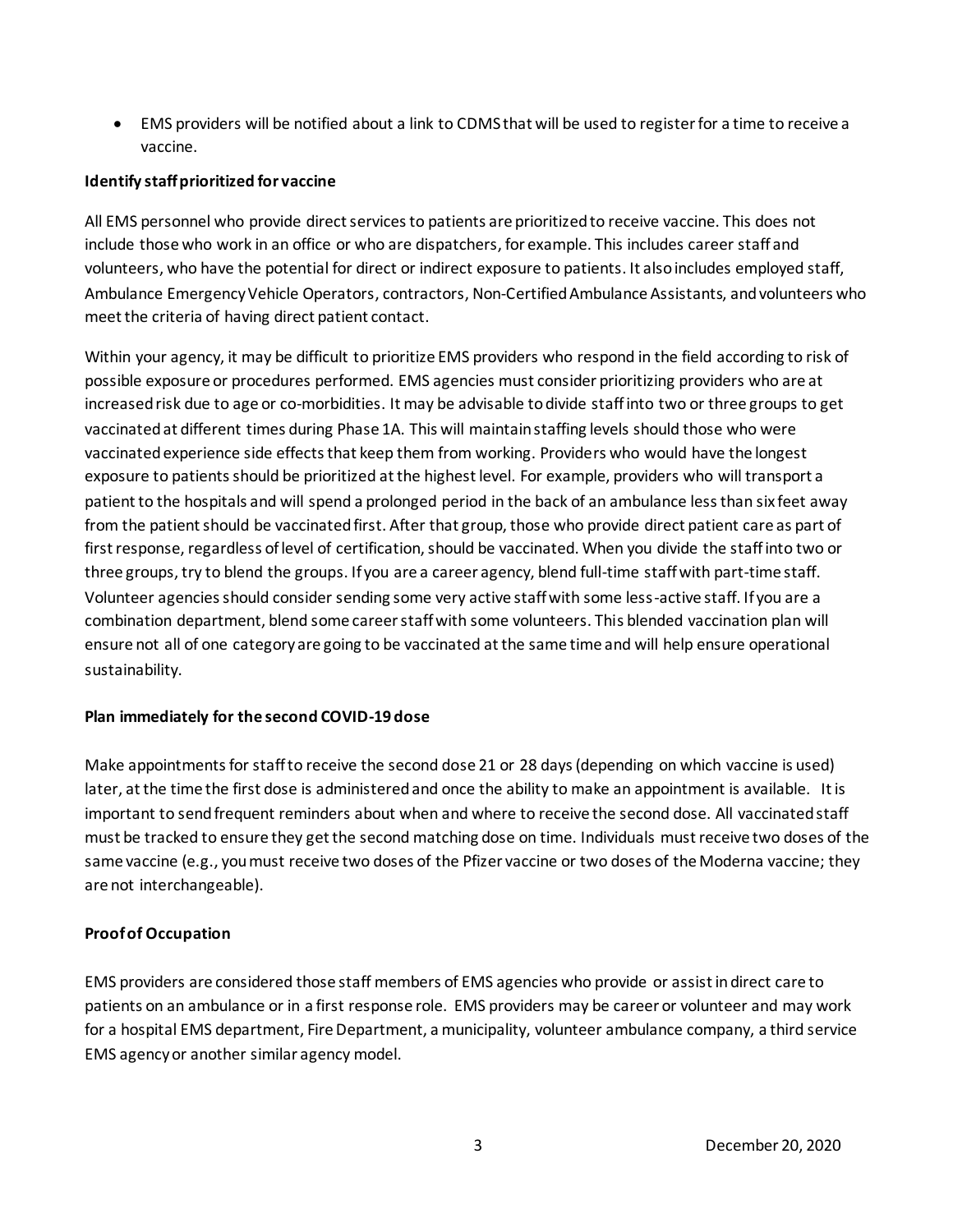• EMS providers will be notified about a link to CDMS that will be used to register for a time to receive a vaccine.

### **Identify staff prioritized for vaccine**

All EMS personnel who provide direct services to patients are prioritized to receive vaccine. This does not include those who work in an office or who are dispatchers, for example. This includes career staff and volunteers, who have the potential for direct or indirect exposure to patients. It also includes employed staff, Ambulance Emergency Vehicle Operators, contractors, Non-Certified Ambulance Assistants, and volunteers who meet the criteria of having direct patient contact.

Within your agency, it may be difficult to prioritize EMS providers who respond in the field according to risk of possible exposure or procedures performed. EMS agencies must consider prioritizing providers who are at increased risk due to age or co-morbidities. It may be advisable to divide staff into two or three groups to get vaccinated at different times during Phase 1A. This will maintain staffing levels should those who were vaccinated experience side effects that keep them from working. Providers who would have the longest exposure to patients should be prioritized at the highest level. For example, providers who will transport a patient to the hospitals and will spend a prolonged period in the back of an ambulance less than six feet away from the patient should be vaccinated first. After that group, those who provide direct patient care as part of first response, regardless of level of certification, should be vaccinated. When you divide the staff into two or three groups, try to blend the groups. If you are a career agency, blend full-time staff with part-time staff. Volunteer agencies should consider sending some very active staff with some less-active staff. If you are a combination department, blend some career staff with some volunteers. This blended vaccination plan will ensure not all of one category are going to be vaccinated at the same time and will help ensure operational sustainability.

#### **Plan immediately for the second COVID-19 dose**

Make appointments for staff to receive the second dose 21 or 28 days (depending on which vaccine is used) later, at the time the first dose is administered and once the ability to make an appointment is available. It is important to send frequent reminders about when and where to receive the second dose. All vaccinated staff must be tracked to ensure they get the second matching dose on time. Individuals must receive two doses of the same vaccine (e.g., you must receive two doses of the Pfizer vaccine or two doses of the Moderna vaccine; they are not interchangeable).

#### **Proof of Occupation**

EMS providers are considered those staff members of EMS agencies who provide or assist indirect care to patients on an ambulance or in a first response role. EMS providers may be career or volunteer and may work for a hospital EMS department, Fire Department, a municipality, volunteer ambulance company, a third service EMS agency or another similar agency model.